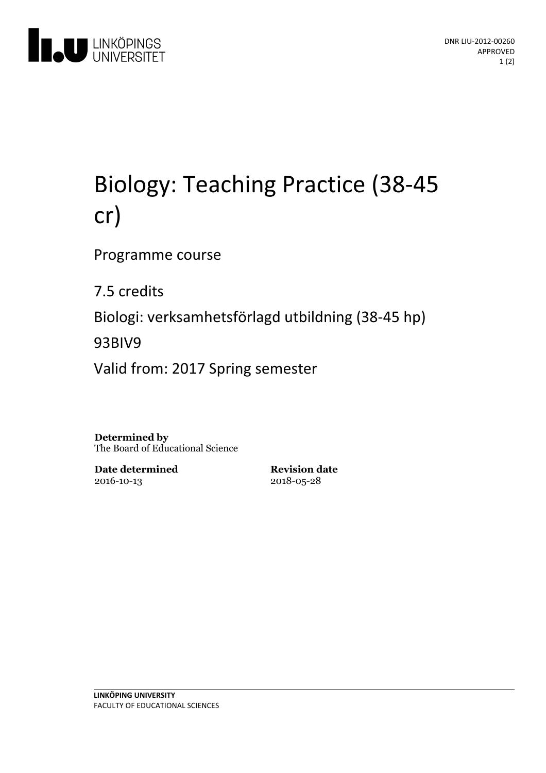

# Biology:Teaching Practice (38-45 cr)

Programme course

7.5 credits

Biologi: verksamhetsförlagd utbildning(38-45 hp)

93BIV9

Valid from: 2017 Spring semester

**Determined by** The Board of Educational Science

**Date determined** 2016-10-13

**Revision date** 2018-05-28